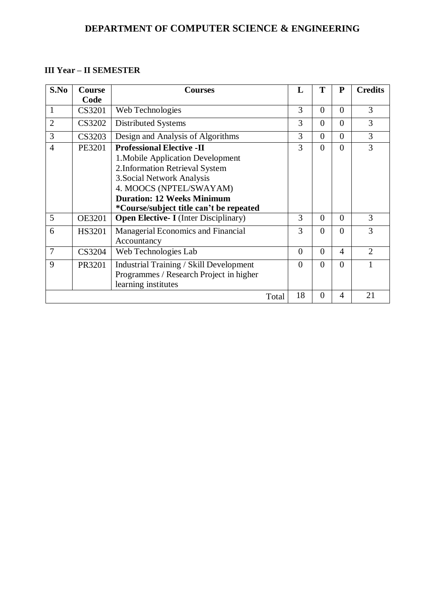## **III Year – II SEMESTER**

| S.No           | <b>Course</b><br>Code | <b>Courses</b>                                                                                                                                                                                                                                    | L        | Т              | $\mathbf{P}$ | <b>Credits</b> |
|----------------|-----------------------|---------------------------------------------------------------------------------------------------------------------------------------------------------------------------------------------------------------------------------------------------|----------|----------------|--------------|----------------|
| 1              | CS3201                | Web Technologies                                                                                                                                                                                                                                  | 3        | $\theta$       | $\theta$     | 3              |
| $\overline{2}$ | <b>CS3202</b>         | <b>Distributed Systems</b>                                                                                                                                                                                                                        | 3        | $\Omega$       | $\theta$     | 3              |
| 3              | CS3203                | Design and Analysis of Algorithms                                                                                                                                                                                                                 | 3        | $\theta$       | $\theta$     | 3              |
| $\overline{4}$ | PE3201                | <b>Professional Elective -II</b><br>1. Mobile Application Development<br>2. Information Retrieval System<br>3. Social Network Analysis<br>4. MOOCS (NPTEL/SWAYAM)<br><b>Duration: 12 Weeks Minimum</b><br>*Course/subject title can't be repeated | 3        | $\theta$       | $\theta$     | 3              |
| 5              | <b>OE3201</b>         | <b>Open Elective- I</b> (Inter Disciplinary)                                                                                                                                                                                                      | 3        | $\theta$       | $\theta$     | 3              |
| 6              | HS3201                | Managerial Economics and Financial<br>Accountancy                                                                                                                                                                                                 | 3        | $\theta$       | $\theta$     | 3              |
| $\overline{7}$ | CS3204                | Web Technologies Lab                                                                                                                                                                                                                              | $\theta$ | $\theta$       | 4            | $\overline{2}$ |
| 9              | PR3201                | <b>Industrial Training / Skill Development</b><br>Programmes / Research Project in higher<br>learning institutes                                                                                                                                  | $\theta$ | $\theta$       | $\Omega$     |                |
|                |                       | Total                                                                                                                                                                                                                                             | 18       | $\overline{0}$ | 4            | 21             |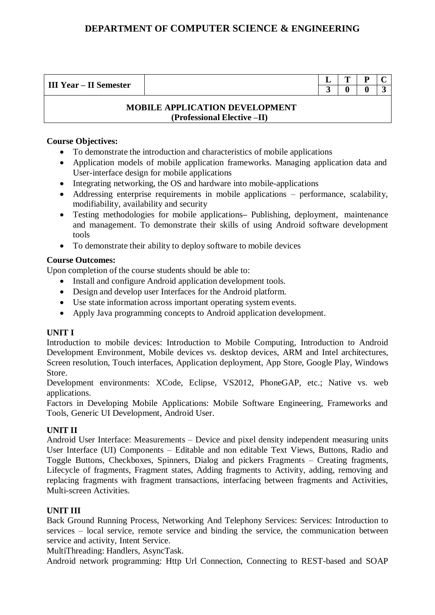| <b>III</b> Y<br>$-$<br>$\sim$       | -<br>- | œ | D<br>- | - |
|-------------------------------------|--------|---|--------|---|
| <b>Semester</b><br>$Year - II$<br>ັ |        |   |        |   |

#### **MOBILE APPLICATION DEVELOPMENT (Professional Elective –II)**

#### **Course Objectives:**

- To demonstrate the introduction and characteristics of mobile applications
- Application models of mobile application frameworks. Managing application data and User-interface design for mobile applications
- Integrating networking, the OS and hardware into mobile-applications
- Addressing enterprise requirements in mobile applications performance, scalability, modifiability, availability and security
- Testing methodologies for mobile applications**–** Publishing, deployment, maintenance and management. To demonstrate their skills of using Android software development tools
- To demonstrate their ability to deploy software to mobile devices

#### **Course Outcomes:**

Upon completion of the course students should be able to:

- Install and configure Android application development tools.
- Design and develop user Interfaces for the Android platform.
- Use state information across important operating system events.
- Apply Java programming concepts to Android application development.

## **UNIT I**

Introduction to mobile devices: Introduction to Mobile Computing, Introduction to Android Development Environment, Mobile devices vs. desktop devices, ARM and Intel architectures, Screen resolution, Touch interfaces, Application deployment, App Store, Google Play, Windows Store.

Development environments: XCode, Eclipse, VS2012, PhoneGAP, etc.; Native vs. web applications.

Factors in Developing Mobile Applications: Mobile Software Engineering, Frameworks and Tools, Generic UI Development, Android User.

## **UNIT II**

Android User Interface: Measurements – Device and pixel density independent measuring units User Interface (UI) Components – Editable and non editable Text Views, Buttons, Radio and Toggle Buttons, Checkboxes, Spinners, Dialog and pickers Fragments – Creating fragments, Lifecycle of fragments, Fragment states, Adding fragments to Activity, adding, removing and replacing fragments with fragment transactions, interfacing between fragments and Activities, Multi-screen Activities.

#### **UNIT III**

Back Ground Running Process, Networking And Telephony Services: Services: Introduction to services – local service, remote service and binding the service, the communication between service and activity, Intent Service.

MultiThreading: Handlers, AsyncTask.

Android network programming: Http Url Connection, Connecting to REST-based and SOAP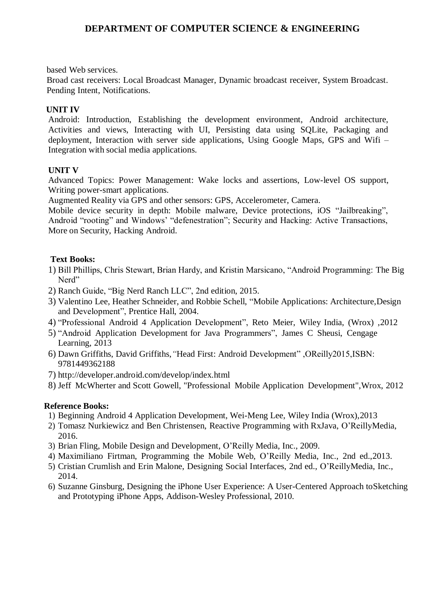based Web services.

Broad cast receivers: Local Broadcast Manager, Dynamic broadcast receiver, System Broadcast. Pending Intent, Notifications.

## **UNIT IV**

Android: Introduction, Establishing the development environment, Android architecture, Activities and views, Interacting with UI, Persisting data using SQLite, Packaging and deployment, Interaction with server side applications, Using Google Maps, GPS and Wifi – Integration with social media applications.

#### **UNIT V**

Advanced Topics: Power Management: Wake locks and assertions, Low-level OS support, Writing power-smart applications.

Augmented Reality via GPS and other sensors: GPS, Accelerometer, Camera.

Mobile device security in depth: Mobile malware, Device protections, iOS "Jailbreaking", Android "rooting" and Windows' "defenestration"; Security and Hacking: Active Transactions, More on Security, Hacking Android.

## **Text Books:**

- 1) Bill Phillips, Chris Stewart, Brian Hardy, and Kristin Marsicano, "Android Programming: The Big Nerd"
- 2) Ranch Guide, "Big Nerd Ranch LLC", 2nd edition, 2015.
- 3) Valentino Lee, Heather Schneider, and Robbie Schell, "Mobile Applications: Architecture,Design and Development", Prentice Hall, 2004.
- 4) "Professional Android 4 Application Development", Reto Meier, Wiley India, (Wrox) ,2012
- 5) "Android Application Development for Java Programmers", James C Sheusi, Cengage Learning, 2013
- 6) Dawn Griffiths, David Griffiths,*"*Head First: Android Development" ,OReilly2015,ISBN: 9781449362188
- 7) <http://developer.android.com/develop/index.html>
- 8) Jeff McWherter and Scott Gowell, "Professional Mobile Application Development",Wrox, 2012

## **Reference Books:**

- 1) Beginning Android 4 Application Development, Wei-Meng Lee, Wiley India (Wrox),2013
- 2) Tomasz Nurkiewicz and Ben Christensen, Reactive Programming with RxJava, O'ReillyMedia, 2016.
- 3) Brian Fling, Mobile Design and Development, O'Reilly Media, Inc., 2009.
- 4) Maximiliano Firtman, Programming the Mobile Web, O'Reilly Media, Inc., 2nd ed.,2013.
- 5) Cristian Crumlish and Erin Malone, Designing Social Interfaces, 2nd ed., O'ReillyMedia, Inc., 2014.
- 6) Suzanne Ginsburg, Designing the iPhone User Experience: A User-Centered Approach toSketching and Prototyping iPhone Apps, Addison-Wesley Professional, 2010.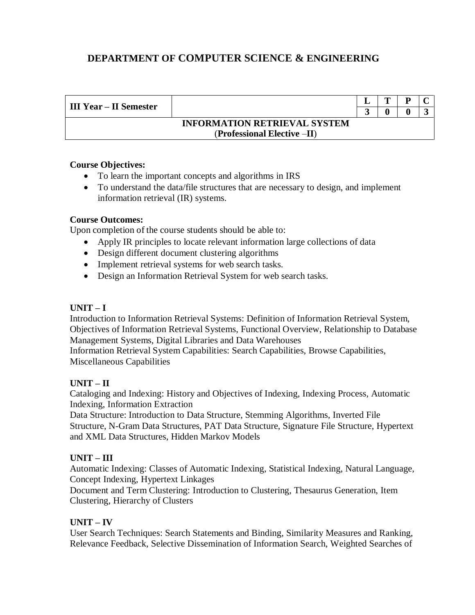| <b>III Year – II Semester</b>       |                             |  | m | D |  |
|-------------------------------------|-----------------------------|--|---|---|--|
|                                     |                             |  |   |   |  |
| <b>INFORMATION RETRIEVAL SYSTEM</b> |                             |  |   |   |  |
|                                     | (Professional Elective -II) |  |   |   |  |

## **Course Objectives:**

- To learn the important concepts and algorithms in IRS
- To understand the data/file structures that are necessary to design, and implement information retrieval (IR) systems.

#### **Course Outcomes:**

Upon completion of the course students should be able to:

- Apply IR principles to locate relevant information large collections of data
- Design different document clustering algorithms
- Implement retrieval systems for web search tasks.
- Design an Information Retrieval System for web search tasks.

## **UNIT – I**

Introduction to Information Retrieval Systems: Definition of Information Retrieval System, Objectives of Information Retrieval Systems, Functional Overview, Relationship to Database Management Systems, Digital Libraries and Data Warehouses Information Retrieval System Capabilities: Search Capabilities, Browse Capabilities, Miscellaneous Capabilities

## **UNIT – II**

Cataloging and Indexing: History and Objectives of Indexing, Indexing Process, Automatic Indexing, Information Extraction

Data Structure: Introduction to Data Structure, Stemming Algorithms, Inverted File Structure, N-Gram Data Structures, PAT Data Structure, Signature File Structure, Hypertext and XML Data Structures, Hidden Markov Models

## **UNIT – III**

Automatic Indexing: Classes of Automatic Indexing, Statistical Indexing, Natural Language, Concept Indexing, Hypertext Linkages

Document and Term Clustering: Introduction to Clustering, Thesaurus Generation, Item Clustering, Hierarchy of Clusters

## **UNIT – IV**

User Search Techniques: Search Statements and Binding, Similarity Measures and Ranking, Relevance Feedback, Selective Dissemination of Information Search, Weighted Searches of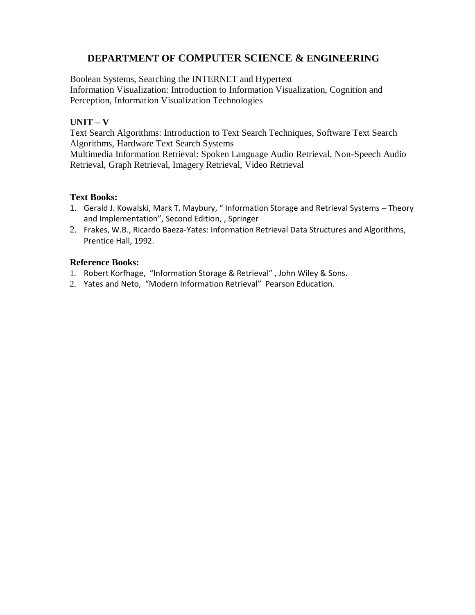Boolean Systems, Searching the INTERNET and Hypertext Information Visualization: Introduction to Information Visualization, Cognition and Perception, Information Visualization Technologies

## **UNIT – V**

Text Search Algorithms: Introduction to Text Search Techniques, Software Text Search Algorithms, Hardware Text Search Systems

Multimedia Information Retrieval: Spoken Language Audio Retrieval, Non-Speech Audio Retrieval, Graph Retrieval, Imagery Retrieval, Video Retrieval

#### **Text Books:**

- 1. Gerald J. Kowalski, Mark T. Maybury, " Information Storage and Retrieval Systems Theory and Implementation", Second Edition, , Springer
- 2. Frakes, W.B., Ricardo Baeza-Yates: Information Retrieval Data Structures and Algorithms, Prentice Hall, 1992.

## **Reference Books:**

- 1. Robert Korfhage, "Information Storage & Retrieval" , John Wiley & Sons.
- 2. Yates and Neto, "Modern Information Retrieval" Pearson Education.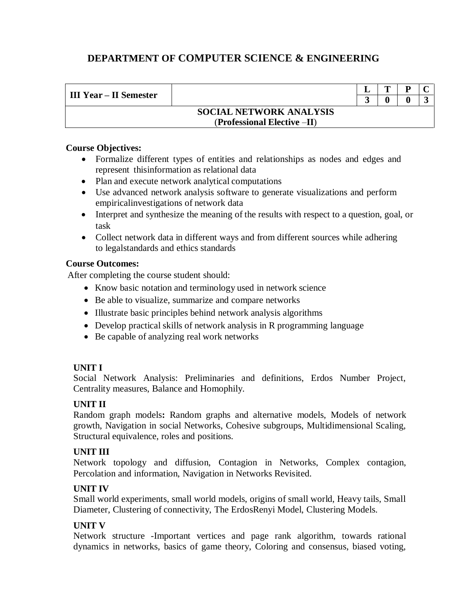| III Year – II Semester |                                |  |  |
|------------------------|--------------------------------|--|--|
|                        |                                |  |  |
|                        | <b>SOCIAL NETWORK ANALYSIS</b> |  |  |
|                        | $(Professional Electric-II)$   |  |  |

#### **Course Objectives:**

- Formalize different types of entities and relationships as nodes and edges and represent thisinformation as relational data
- Plan and execute network analytical computations
- Use advanced network analysis software to generate visualizations and perform empiricalinvestigations of network data
- Interpret and synthesize the meaning of the results with respect to a question, goal, or task
- Collect network data in different ways and from different sources while adhering to legalstandards and ethics standards

#### **Course Outcomes:**

After completing the course student should:

- Know basic notation and terminology used in network science
- Be able to visualize, summarize and compare networks
- Illustrate basic principles behind network analysis algorithms
- Develop practical skills of network analysis in R programming language
- Be capable of analyzing real work networks

## **UNIT I**

Social Network Analysis: Preliminaries and definitions, Erdos Number Project, Centrality measures, Balance and Homophily.

## **UNIT II**

Random graph models**:** Random graphs and alternative models, Models of network growth, Navigation in social Networks, Cohesive subgroups, Multidimensional Scaling, Structural equivalence, roles and positions.

## **UNIT III**

Network topology and diffusion, Contagion in Networks, Complex contagion, Percolation and information, Navigation in Networks Revisited.

## **UNIT IV**

Small world experiments, small world models, origins of small world, Heavy tails, Small Diameter, Clustering of connectivity, The ErdosRenyi Model, Clustering Models.

## **UNIT V**

Network structure -Important vertices and page rank algorithm, towards rational dynamics in networks, basics of game theory, Coloring and consensus, biased voting,